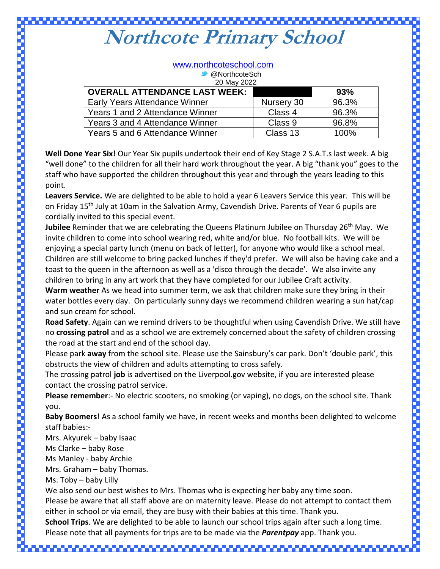## <u> Maria Maria Maria </u> **Northcote Primary School**

| www.northcoteschool.com              |            |       |
|--------------------------------------|------------|-------|
| <sup>3</sup> @NorthcoteSch           |            |       |
| 20 May 2022                          |            |       |
| <b>OVERALL ATTENDANCE LAST WEEK:</b> |            | 93%   |
| Early Years Attendance Winner        | Nursery 30 | 96.3% |
| Years 1 and 2 Attendance Winner      | Class 4    | 96.3% |
| Years 3 and 4 Attendance Winner      | Class 9    | 96.8% |
| Years 5 and 6 Attendance Winner      | Class 13   | 100%  |
|                                      |            |       |

**Well Done Year Six!** Our Year Six pupils undertook their end of Key Stage 2 S.A.T.s last week. A big "well done" to the children for all their hard work throughout the year. A big "thank you" goes to the staff who have supported the children throughout this year and through the years leading to this point.

**Leavers Service.** We are delighted to be able to hold a year 6 Leavers Service this year. This will be on Friday 15<sup>th</sup> July at 10am in the Salvation Army, Cavendish Drive. Parents of Year 6 pupils are cordially invited to this special event.

**Jubilee** Reminder that we are celebrating the Queens Platinum Jubilee on Thursday 26<sup>th</sup> May. We invite children to come into school wearing red, white and/or blue. No football kits. We will be enjoying a special party lunch (menu on back of letter), for anyone who would like a school meal. Children are still welcome to bring packed lunches if they'd prefer. We will also be having cake and a toast to the queen in the afternoon as well as a 'disco through the decade'. We also invite any children to bring in any art work that they have completed for our Jubilee Craft activity.

**Warm weather** As we head into summer term, we ask that children make sure they bring in their water bottles every day. On particularly sunny days we recommend children wearing a sun hat/cap and sun cream for school.

**Road Safety**. Again can we remind drivers to be thoughtful when using Cavendish Drive. We still have no **crossing patrol** and as a school we are extremely concerned about the safety of children crossing the road at the start and end of the school day.

Please park **away** from the school site. Please use the Sainsbury's car park. Don't 'double park', this obstructs the view of children and adults attempting to cross safely.

The crossing patrol **job** is advertised on the Liverpool.gov website, if you are interested please contact the crossing patrol service.

**Please remember**:- No electric scooters, no smoking (or vaping), no dogs, on the school site. Thank you.

**Baby Boomers**! As a school family we have, in recent weeks and months been delighted to welcome staff babies:-

Mrs. Akyurek – baby Isaac

Ms Clarke – baby Rose

Ms Manley - baby Archie

Mrs. Graham – baby Thomas.

Ms. Toby – baby Lilly

We also send our best wishes to Mrs. Thomas who is expecting her baby any time soon.

Please be aware that all staff above are on maternity leave. Please do not attempt to contact them either in school or via email, they are busy with their babies at this time. Thank you.

**School Trips**. We are delighted to be able to launch our school trips again after such a long time. Please note that all payments for trips are to be made via the *Parentpay* app. Thank you.